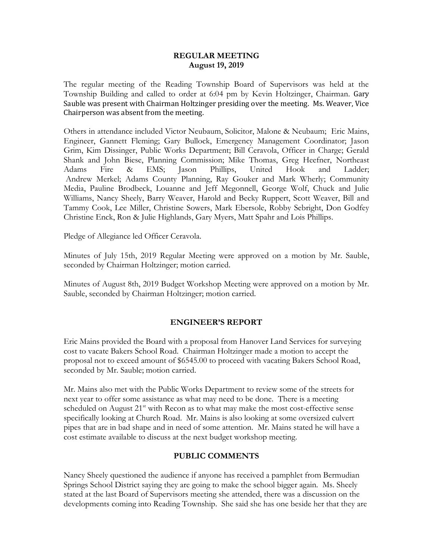#### **REGULAR MEETING August 19, 2019**

The regular meeting of the Reading Township Board of Supervisors was held at the Township Building and called to order at 6:04 pm by Kevin Holtzinger, Chairman. Gary Sauble was present with Chairman Holtzinger presiding over the meeting. Ms. Weaver, Vice Chairperson was absent from the meeting.

Others in attendance included Victor Neubaum, Solicitor, Malone & Neubaum; Eric Mains, Engineer, Gannett Fleming; Gary Bullock, Emergency Management Coordinator; Jason Grim, Kim Dissinger, Public Works Department; Bill Ceravola, Officer in Charge; Gerald Shank and John Biese, Planning Commission; Mike Thomas, Greg Heefner, Northeast Adams Fire & EMS; Jason Phillips, United Hook and Ladder; Andrew Merkel; Adams County Planning, Ray Gouker and Mark Wherly; Community Media, Pauline Brodbeck, Louanne and Jeff Megonnell, George Wolf, Chuck and Julie Williams, Nancy Sheely, Barry Weaver, Harold and Becky Ruppert, Scott Weaver, Bill and Tammy Cook, Lee Miller, Christine Sowers, Mark Ebersole, Robby Sebright, Don Godfey Christine Enck, Ron & Julie Highlands, Gary Myers, Matt Spahr and Lois Phillips.

Pledge of Allegiance led Officer Ceravola.

Minutes of July 15th, 2019 Regular Meeting were approved on a motion by Mr. Sauble, seconded by Chairman Holtzinger; motion carried.

Minutes of August 8th, 2019 Budget Workshop Meeting were approved on a motion by Mr. Sauble, seconded by Chairman Holtzinger; motion carried.

## **ENGINEER'S REPORT**

Eric Mains provided the Board with a proposal from Hanover Land Services for surveying cost to vacate Bakers School Road. Chairman Holtzinger made a motion to accept the proposal not to exceed amount of \$6545.00 to proceed with vacating Bakers School Road, seconded by Mr. Sauble; motion carried.

Mr. Mains also met with the Public Works Department to review some of the streets for next year to offer some assistance as what may need to be done. There is a meeting scheduled on August 21<sup>st</sup> with Recon as to what may make the most cost-effective sense specifically looking at Church Road. Mr. Mains is also looking at some oversized culvert pipes that are in bad shape and in need of some attention. Mr. Mains stated he will have a cost estimate available to discuss at the next budget workshop meeting.

## **PUBLIC COMMENTS**

Nancy Sheely questioned the audience if anyone has received a pamphlet from Bermudian Springs School District saying they are going to make the school bigger again. Ms. Sheely stated at the last Board of Supervisors meeting she attended, there was a discussion on the developments coming into Reading Township. She said she has one beside her that they are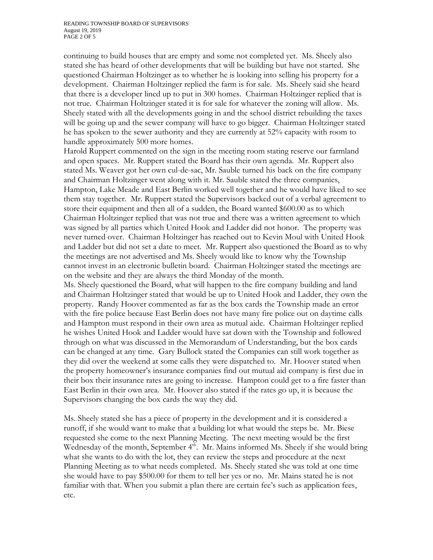continuing to build houses that are empty and some not completed yet. Ms. Sheely also stated she has heard of other developments that will be building but have not started. She questioned Chairman Holtzinger as to whether he is looking into selling his property for a development. Chairman Holtzinger replied the farm is for sale. Ms. Sheely said she heard that there is a developer lined up to put in 300 homes. Chairman Holtzinger replied that is not true. Chairman Holtzinger stated it is for sale for whatever the zoning will allow. Ms. Sheely stated with all the developments going in and the school district rebuilding the taxes will be going up and the sewer company will have to go bigger. Chairman Holtzinger stated he has spoken to the sewer authority and they are currently at 52% capacity with room to handle approximately 500 more homes.

Harold Ruppert commented on the sign in the meeting room stating reserve our farmland and open spaces. Mr. Ruppert stated the Board has their own agenda. Mr. Ruppert also stated Ms. Weaver got her own cul-de-sac, Mr. Sauble turned his back on the fire company and Chairman Holtzinger went along with it. Mr. Sauble stated the three companies, Hampton, Lake Meade and East Berlin worked well together and he would have liked to see them stay together. Mr. Ruppert stated the Supervisors backed out of a verbal agreement to store their equipment and then all of a sudden, the Board wanted \$600.00 as to which Chairman Holtzinger replied that was not true and there was a written agreement to which was signed by all parties which United Hook and Ladder did not honor. The property was never turned over. Chairman Holtzinger has reached out to Kevin Moul with United Hook and Ladder but did not set a date to meet. Mr. Ruppert also questioned the Board as to why the meetings are not advertised and Ms. Sheely would like to know why the Township cannot invest in an electronic bulletin board. Chairman Holtzinger stated the meetings are on the website and they are always the third Monday of the month.

Ms. Sheely questioned the Board, what will happen to the fire company building and land and Chairman Holtzinger stated that would be up to United Hook and Ladder, they own the property. Randy Hoover commented as far as the box cards the Township made an error with the fire police because East Berlin does not have many fire police out on daytime calls and Hampton must respond in their own area as mutual aide. Chairman Holtzinger replied he wishes United Hook and Ladder would have sat down with the Township and followed through on what was discussed in the Memorandum of Understanding, but the box cards can be changed at any time. Gary Bullock stated the Companies can still work together as they did over the weekend at some calls they were dispatched to. Mr. Hoover stated when the property homeowner's insurance companies find out mutual aid company is first due in their box their insurance rates are going to increase. Hampton could get to a fire faster than East Berlin in their own area. Mr. Hoover also stated if the rates go up, it is because the Supervisors changing the box cards the way they did.

Ms. Sheely stated she has a piece of property in the development and it is considered a runoff, if she would want to make that a building lot what would the steps be. Mr. Biese requested she come to the next Planning Meeting. The next meeting would be the first Wednesday of the month, September  $4<sup>th</sup>$ . Mr. Mains informed Ms. Sheely if she would bring what she wants to do with the lot, they can review the steps and procedure at the next Planning Meeting as to what needs completed. Ms. Sheely stated she was told at one time she would have to pay \$500.00 for them to tell her yes or no. Mr. Mains stated he is not familiar with that. When you submit a plan there are certain fee's such as application fees, etc.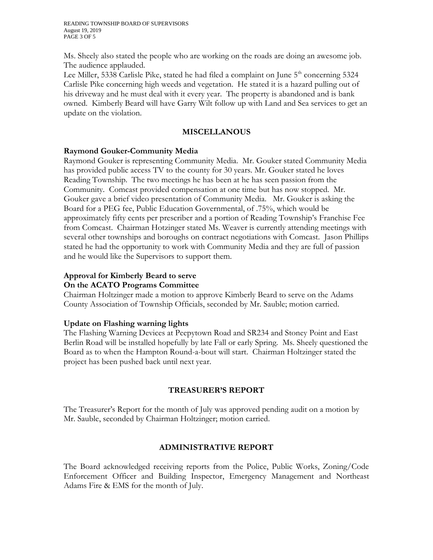Ms. Sheely also stated the people who are working on the roads are doing an awesome job. The audience applauded.

Lee Miller, 5338 Carlisle Pike, stated he had filed a complaint on June  $5<sup>th</sup>$  concerning 5324 Carlisle Pike concerning high weeds and vegetation. He stated it is a hazard pulling out of his driveway and he must deal with it every year. The property is abandoned and is bank owned. Kimberly Beard will have Garry Wilt follow up with Land and Sea services to get an update on the violation.

## **MISCELLANOUS**

## **Raymond Gouker-Community Media**

Raymond Gouker is representing Community Media. Mr. Gouker stated Community Media has provided public access TV to the county for 30 years. Mr. Gouker stated he loves Reading Township. The two meetings he has been at he has seen passion from the Community. Comcast provided compensation at one time but has now stopped. Mr. Gouker gave a brief video presentation of Community Media. Mr. Gouker is asking the Board for a PEG fee, Public Education Governmental, of .75%, which would be approximately fifty cents per prescriber and a portion of Reading Township's Franchise Fee from Comcast. Chairman Hotzinger stated Ms. Weaver is currently attending meetings with several other townships and boroughs on contract negotiations with Comcast. Jason Phillips stated he had the opportunity to work with Community Media and they are full of passion and he would like the Supervisors to support them.

## **Approval for Kimberly Beard to serve On the ACATO Programs Committee**

Chairman Holtzinger made a motion to approve Kimberly Beard to serve on the Adams County Association of Township Officials, seconded by Mr. Sauble; motion carried.

# **Update on Flashing warning lights**

The Flashing Warning Devices at Peepytown Road and SR234 and Stoney Point and East Berlin Road will be installed hopefully by late Fall or early Spring. Ms. Sheely questioned the Board as to when the Hampton Round-a-bout will start. Chairman Holtzinger stated the project has been pushed back until next year.

# **TREASURER'S REPORT**

The Treasurer's Report for the month of July was approved pending audit on a motion by Mr. Sauble, seconded by Chairman Holtzinger; motion carried.

# **ADMINISTRATIVE REPORT**

The Board acknowledged receiving reports from the Police, Public Works, Zoning/Code Enforcement Officer and Building Inspector, Emergency Management and Northeast Adams Fire & EMS for the month of July.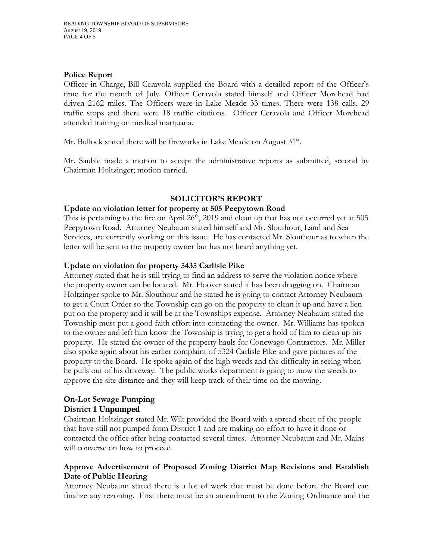#### **Police Report**

Officer in Charge, Bill Ceravola supplied the Board with a detailed report of the Officer's time for the month of July. Officer Ceravola stated himself and Officer Morehead had driven 2162 miles. The Officers were in Lake Meade 33 times. There were 138 calls, 29 traffic stops and there were 18 traffic citations. Officer Ceravola and Officer Morehead attended training on medical marijuana.

Mr. Bullock stated there will be fireworks in Lake Meade on August 31<sup>st</sup>.

Mr. Sauble made a motion to accept the administrative reports as submitted, second by Chairman Holtzinger; motion carried.

## **SOLICITOR'S REPORT**

#### **Update on violation letter for property at 505 Peepytown Road**

This is pertaining to the fire on April  $26<sup>th</sup>$ , 2019 and clean up that has not occurred yet at 505 Peepytown Road. Attorney Neubaum stated himself and Mr. Slouthour, Land and Sea Services, are currently working on this issue. He has contacted Mr. Slouthour as to when the letter will be sent to the property owner but has not heard anything yet.

#### **Update on violation for property 5435 Carlisle Pike**

Attorney stated that he is still trying to find an address to serve the violation notice where the property owner can be located. Mr. Hoover stated it has been dragging on. Chairman Holtzinger spoke to Mr. Slouthour and he stated he is going to contact Attorney Neubaum to get a Court Order so the Township can go on the property to clean it up and have a lien put on the property and it will be at the Townships expense. Attorney Neubaum stated the Township must put a good faith effort into contacting the owner. Mr. Williams has spoken to the owner and left him know the Township is trying to get a hold of him to clean up his property. He stated the owner of the property hauls for Conewago Contractors. Mr. Miller also spoke again about his earlier complaint of 5324 Carlisle Pike and gave pictures of the property to the Board. He spoke again of the high weeds and the difficulty in seeing when he pulls out of his driveway. The public works department is going to mow the weeds to approve the site distance and they will keep track of their time on the mowing.

## **On-Lot Sewage Pumping District 1 Unpumped**

Chairman Holtzinger stated Mr. Wilt provided the Board with a spread sheet of the people that have still not pumped from District 1 and are making no effort to have it done or contacted the office after being contacted several times. Attorney Neubaum and Mr. Mains will converse on how to proceed.

## **Approve Advertisement of Proposed Zoning District Map Revisions and Establish Date of Public Hearing**

Attorney Neubaum stated there is a lot of work that must be done before the Board can finalize any rezoning. First there must be an amendment to the Zoning Ordinance and the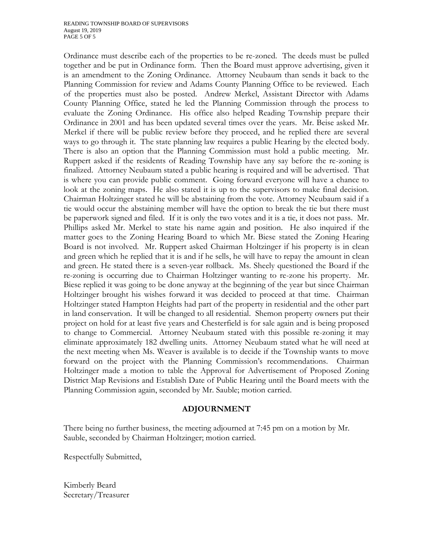Ordinance must describe each of the properties to be re-zoned. The deeds must be pulled together and be put in Ordinance form. Then the Board must approve advertising, given it is an amendment to the Zoning Ordinance. Attorney Neubaum than sends it back to the Planning Commission for review and Adams County Planning Office to be reviewed. Each of the properties must also be posted. Andrew Merkel, Assistant Director with Adams County Planning Office, stated he led the Planning Commission through the process to evaluate the Zoning Ordinance. His office also helped Reading Township prepare their Ordinance in 2001 and has been updated several times over the years. Mr. Beise asked Mr. Merkel if there will be public review before they proceed, and he replied there are several ways to go through it. The state planning law requires a public Hearing by the elected body. There is also an option that the Planning Commission must hold a public meeting. Mr. Ruppert asked if the residents of Reading Township have any say before the re-zoning is finalized. Attorney Neubaum stated a public hearing is required and will be advertised. That is where you can provide public comment. Going forward everyone will have a chance to look at the zoning maps. He also stated it is up to the supervisors to make final decision. Chairman Holtzinger stated he will be abstaining from the vote. Attorney Neubaum said if a tie would occur the abstaining member will have the option to break the tie but there must be paperwork signed and filed. If it is only the two votes and it is a tie, it does not pass. Mr. Phillips asked Mr. Merkel to state his name again and position. He also inquired if the matter goes to the Zoning Hearing Board to which Mr. Biese stated the Zoning Hearing Board is not involved. Mr. Ruppert asked Chairman Holtzinger if his property is in clean and green which he replied that it is and if he sells, he will have to repay the amount in clean and green. He stated there is a seven-year rollback. Ms. Sheely questioned the Board if the re-zoning is occurring due to Chairman Holtzinger wanting to re-zone his property. Mr. Biese replied it was going to be done anyway at the beginning of the year but since Chairman Holtzinger brought his wishes forward it was decided to proceed at that time. Chairman Holtzinger stated Hampton Heights had part of the property in residential and the other part in land conservation. It will be changed to all residential. Shemon property owners put their project on hold for at least five years and Chesterfield is for sale again and is being proposed to change to Commercial. Attorney Neubaum stated with this possible re-zoning it may eliminate approximately 182 dwelling units. Attorney Neubaum stated what he will need at the next meeting when Ms. Weaver is available is to decide if the Township wants to move forward on the project with the Planning Commission's recommendations. Chairman Holtzinger made a motion to table the Approval for Advertisement of Proposed Zoning District Map Revisions and Establish Date of Public Hearing until the Board meets with the Planning Commission again, seconded by Mr. Sauble; motion carried.

## **ADJOURNMENT**

There being no further business, the meeting adjourned at 7:45 pm on a motion by Mr. Sauble, seconded by Chairman Holtzinger; motion carried.

Respectfully Submitted,

Kimberly Beard Secretary/Treasurer